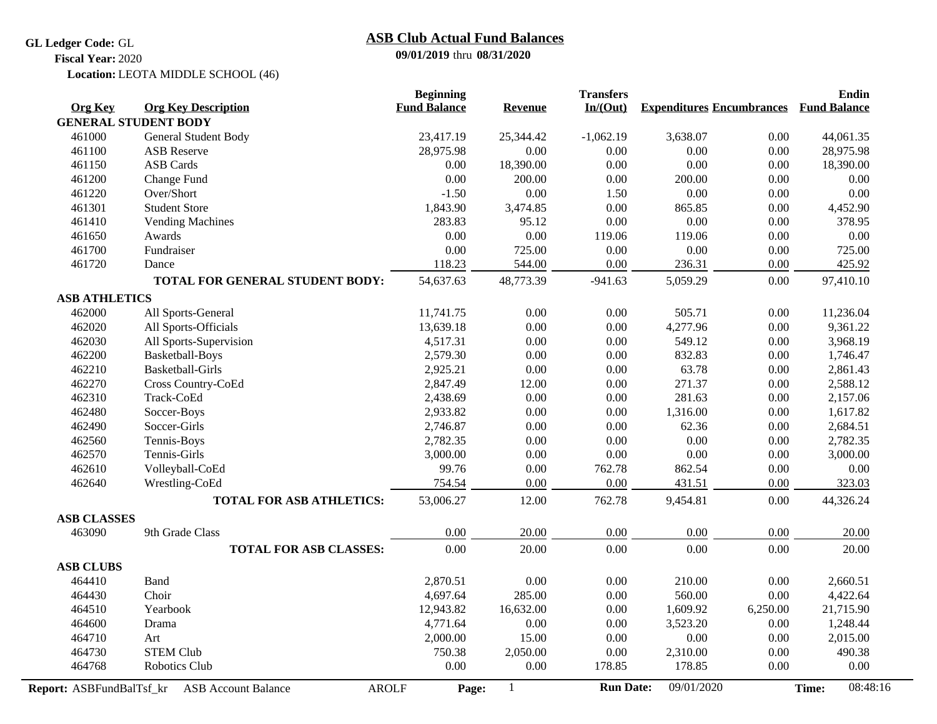**GL Ledger Code:** GL

## **09/01/2019** thru **08/31/2020 ASB Club Actual Fund Balances**

**Fiscal Year:** 2020

Location: LEOTA MIDDLE SCHOOL (46)

|                                 |                                            | <b>Beginning</b>    |                | <b>Transfers</b> |                                  |          | <b>Endin</b>        |
|---------------------------------|--------------------------------------------|---------------------|----------------|------------------|----------------------------------|----------|---------------------|
| <b>Org Key</b>                  | <b>Org Key Description</b>                 | <b>Fund Balance</b> | <b>Revenue</b> | In/(Out)         | <b>Expenditures Encumbrances</b> |          | <b>Fund Balance</b> |
| <b>GENERAL STUDENT BODY</b>     |                                            |                     |                |                  |                                  |          |                     |
| 461000                          | General Student Body                       | 23,417.19           | 25,344.42      | $-1,062.19$      | 3,638.07                         | 0.00     | 44,061.35           |
| 461100                          | <b>ASB</b> Reserve                         | 28,975.98           | 0.00           | 0.00             | 0.00                             | 0.00     | 28,975.98           |
| 461150                          | <b>ASB Cards</b>                           | 0.00                | 18,390.00      | 0.00             | 0.00                             | 0.00     | 18,390.00           |
| 461200                          | Change Fund                                | 0.00                | 200.00         | 0.00             | 200.00                           | 0.00     | 0.00                |
| 461220                          | Over/Short                                 | $-1.50$             | 0.00           | 1.50             | 0.00                             | 0.00     | $0.00\,$            |
| 461301                          | <b>Student Store</b>                       | 1,843.90            | 3,474.85       | 0.00             | 865.85                           | 0.00     | 4,452.90            |
| 461410                          | <b>Vending Machines</b>                    | 283.83              | 95.12          | 0.00             | 0.00                             | 0.00     | 378.95              |
| 461650                          | Awards                                     | 0.00                | 0.00           | 119.06           | 119.06                           | 0.00     | 0.00                |
| 461700                          | Fundraiser                                 | 0.00                | 725.00         | 0.00             | 0.00                             | 0.00     | 725.00              |
| 461720                          | Dance                                      | 118.23              | 544.00         | 0.00             | 236.31                           | 0.00     | 425.92              |
|                                 | TOTAL FOR GENERAL STUDENT BODY:            | 54,637.63           | 48,773.39      | $-941.63$        | 5,059.29                         | 0.00     | 97,410.10           |
| <b>ASB ATHLETICS</b>            |                                            |                     |                |                  |                                  |          |                     |
| 462000                          | All Sports-General                         | 11,741.75           | 0.00           | 0.00             | 505.71                           | 0.00     | 11,236.04           |
| 462020                          | All Sports-Officials                       | 13,639.18           | 0.00           | 0.00             | 4,277.96                         | 0.00     | 9,361.22            |
| 462030                          | All Sports-Supervision                     | 4,517.31            | 0.00           | 0.00             | 549.12                           | 0.00     | 3,968.19            |
| 462200                          | Basketball-Boys                            | 2,579.30            | 0.00           | 0.00             | 832.83                           | 0.00     | 1,746.47            |
| 462210                          | Basketball-Girls                           | 2,925.21            | 0.00           | 0.00             | 63.78                            | 0.00     | 2,861.43            |
| 462270                          | Cross Country-CoEd                         | 2,847.49            | 12.00          | 0.00             | 271.37                           | 0.00     | 2,588.12            |
| 462310                          | Track-CoEd                                 | 2,438.69            | 0.00           | 0.00             | 281.63                           | 0.00     | 2,157.06            |
| 462480                          | Soccer-Boys                                | 2,933.82            | 0.00           | 0.00             | 1,316.00                         | 0.00     | 1,617.82            |
| 462490                          | Soccer-Girls                               | 2,746.87            | 0.00           | 0.00             | 62.36                            | 0.00     | 2,684.51            |
| 462560                          | Tennis-Boys                                | 2,782.35            | 0.00           | 0.00             | 0.00                             | 0.00     | 2,782.35            |
| 462570                          | Tennis-Girls                               | 3,000.00            | 0.00           | 0.00             | 0.00                             | 0.00     | 3,000.00            |
| 462610                          | Volleyball-CoEd                            | 99.76               | $0.00\,$       | 762.78           | 862.54                           | 0.00     | $0.00\,$            |
| 462640                          | Wrestling-CoEd                             | 754.54              | 0.00           | 0.00             | 431.51                           | 0.00     | 323.03              |
|                                 | <b>TOTAL FOR ASB ATHLETICS:</b>            | 53,006.27           | 12.00          | 762.78           | 9,454.81                         | 0.00     | 44,326.24           |
| <b>ASB CLASSES</b>              |                                            |                     |                |                  |                                  |          |                     |
| 463090                          | 9th Grade Class                            | 0.00                | 20.00          | 0.00             | 0.00                             | 0.00     | 20.00               |
|                                 | <b>TOTAL FOR ASB CLASSES:</b>              | 0.00                | 20.00          | 0.00             | 0.00                             | 0.00     | 20.00               |
| <b>ASB CLUBS</b>                |                                            |                     |                |                  |                                  |          |                     |
| 464410                          | Band                                       | 2,870.51            | 0.00           | 0.00             | 210.00                           | 0.00     | 2,660.51            |
| 464430                          | Choir                                      | 4,697.64            | 285.00         | 0.00             | 560.00                           | 0.00     | 4,422.64            |
| 464510                          | Yearbook                                   | 12,943.82           | 16,632.00      | 0.00             | 1,609.92                         | 6,250.00 | 21,715.90           |
| 464600                          | Drama                                      | 4,771.64            | 0.00           | 0.00             | 3,523.20                         | 0.00     | 1,248.44            |
| 464710                          | Art                                        | 2,000.00            | 15.00          | 0.00             | 0.00                             | 0.00     | 2,015.00            |
| 464730                          | <b>STEM Club</b>                           | 750.38              | 2,050.00       | 0.00             | 2,310.00                         | 0.00     | 490.38              |
| 464768                          | Robotics Club                              | $0.00\,$            | 0.00           | 178.85           | 178.85                           | 0.00     | 0.00                |
| <b>Report: ASBFundBalTsf_kr</b> | <b>ASB Account Balance</b><br><b>AROLF</b> | Page:               | $\mathbf{1}$   | <b>Run Date:</b> | 09/01/2020                       |          | 08:48:16<br>Time:   |